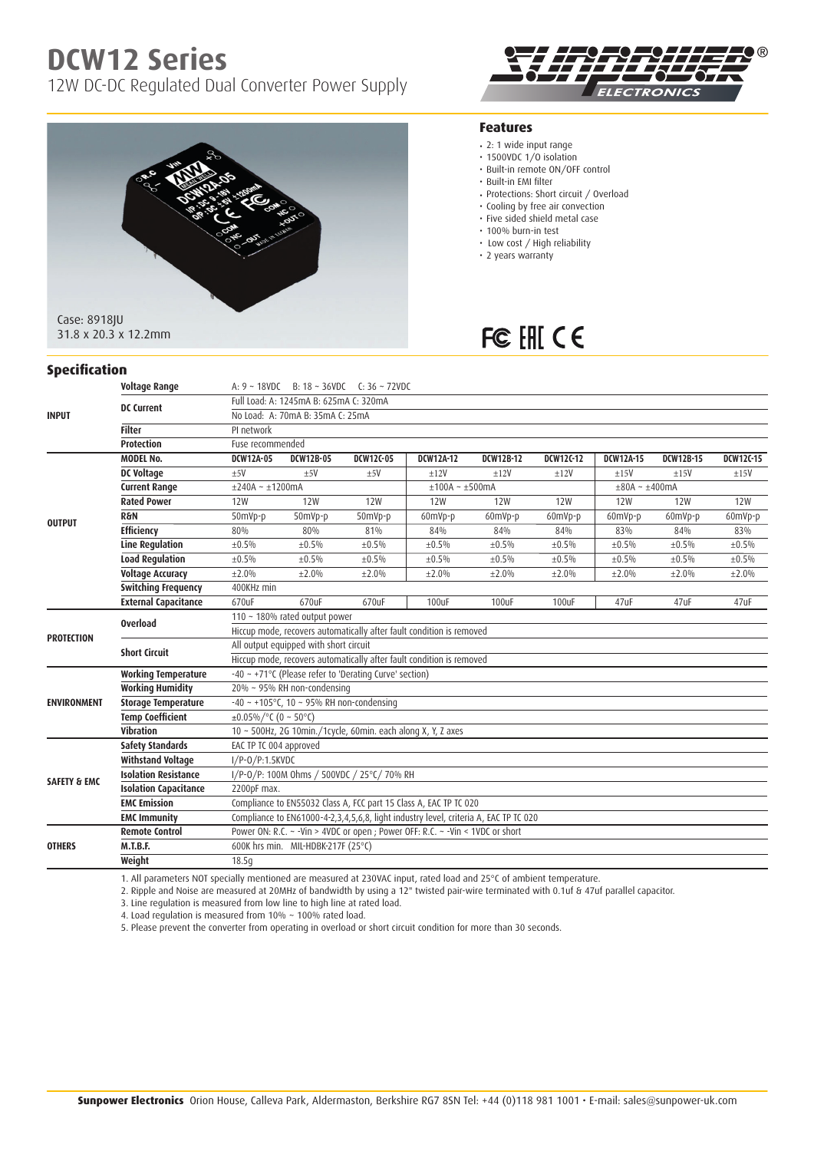# **DCW12 Series**

**Specification**

12W DC-DC Regulated Dual Converter Power Supply





#### **Features**

- 2: 1 wide input range
- 1500VDC 1/0 isolation
- Built-in remote ON/OFF control
- • Built-in EMI filter
- Protections: Short circuit / Overload
- Cooling by free air convection
- Five sided shield metal case
- 100% burn-in test
- Low cost / High reliability
- 2 years warranty

## FC EHI CE

|                         | <b>Voltage Range</b>         | A: $9 \sim 18VDC$ B: $18 \sim 36VDC$ C: $36 \sim 72VDC$                              |                                                                                 |             |                  |                  |             |                  |             |                  |  |  |
|-------------------------|------------------------------|--------------------------------------------------------------------------------------|---------------------------------------------------------------------------------|-------------|------------------|------------------|-------------|------------------|-------------|------------------|--|--|
| <b>INPUT</b>            | <b>DC Current</b>            | Full Load: A: 1245mA B: 625mA C: 320mA                                               |                                                                                 |             |                  |                  |             |                  |             |                  |  |  |
|                         |                              | No Load: A: 70mA B: 35mA C: 25mA                                                     |                                                                                 |             |                  |                  |             |                  |             |                  |  |  |
|                         | <b>Filter</b>                | PI network                                                                           |                                                                                 |             |                  |                  |             |                  |             |                  |  |  |
|                         | <b>Protection</b>            | Fuse recommended                                                                     |                                                                                 |             |                  |                  |             |                  |             |                  |  |  |
| <b>OUTPUT</b>           | <b>MODEL No.</b>             | <b>DCW12A-05</b>                                                                     | <b>DCW12B-05</b>                                                                | DCW12C-05   | <b>DCW12A-12</b> | <b>DCW12B-12</b> | DCW12C-12   | <b>DCW12A-15</b> | DCW12B-15   | <b>DCW12C-15</b> |  |  |
|                         | <b>DC Voltage</b>            | $+5V$                                                                                | ±5V                                                                             | ±5V         | $+12V$           | ±12V             | ±12V        | ±15V             | ±15V        | ±15V             |  |  |
|                         | <b>Current Range</b>         | $\pm$ 240A ~ $\pm$ 1200mA                                                            |                                                                                 |             | $±100A - ±500mA$ |                  |             | $±80A - ±400mA$  |             |                  |  |  |
|                         | <b>Rated Power</b>           | <b>12W</b>                                                                           | <b>12W</b>                                                                      | <b>12W</b>  | <b>12W</b>       | <b>12W</b>       | <b>12W</b>  | <b>12W</b>       | <b>12W</b>  | <b>12W</b>       |  |  |
|                         | <b>R&amp;N</b>               | 50mVp-p                                                                              | $50$ mVp-p                                                                      | 50mVp-p     | 60mVp-p          | 60mVp-p          | 60mVp-p     | 60mVp-p          | 60mVp-p     | 60mVp-p          |  |  |
|                         | <b>Efficiency</b>            | 80%                                                                                  | 80%                                                                             | 81%         | 84%              | 84%              | 84%         | 83%              | 84%         | 83%              |  |  |
|                         | <b>Line Regulation</b>       | ±0.5%                                                                                | ±0.5%                                                                           | $\pm 0.5\%$ | $\pm 0.5\%$      | $\pm 0.5\%$      | $\pm 0.5\%$ | $\pm 0.5\%$      | $\pm 0.5\%$ | ±0.5%            |  |  |
|                         | <b>Load Regulation</b>       | ±0.5%                                                                                | ±0.5%                                                                           | $\pm 0.5\%$ | ±0.5%            | $\pm 0.5\%$      | $\pm 0.5\%$ | ±0.5%            | ±0.5%       | $\pm 0.5\%$      |  |  |
|                         | <b>Voltage Accuracy</b>      | ±2.0%                                                                                | ±2.0%                                                                           | ±2.0%       | ±2.0%            | ±2.0%            | ±2.0%       | ±2.0%            | ±2.0%       | ±2.0%            |  |  |
|                         | <b>Switching Frequency</b>   | 400KHz min                                                                           |                                                                                 |             |                  |                  |             |                  |             |                  |  |  |
|                         | <b>External Capacitance</b>  | 670uF                                                                                | 670uF                                                                           | 670uF       | 100uF            | 100uF            | 100uF       | 47uF             | 47uF        | 47uF             |  |  |
| <b>PROTECTION</b>       | <b>Overload</b>              | 110 ~ 180% rated output power                                                        |                                                                                 |             |                  |                  |             |                  |             |                  |  |  |
|                         |                              | Hiccup mode, recovers automatically after fault condition is removed                 |                                                                                 |             |                  |                  |             |                  |             |                  |  |  |
|                         | <b>Short Circuit</b>         | All output equipped with short circuit                                               |                                                                                 |             |                  |                  |             |                  |             |                  |  |  |
|                         |                              | Hiccup mode, recovers automatically after fault condition is removed                 |                                                                                 |             |                  |                  |             |                  |             |                  |  |  |
| <b>ENVIRONMENT</b>      | <b>Working Temperature</b>   |                                                                                      | -40 ~ +71°C (Please refer to 'Derating Curve' section)                          |             |                  |                  |             |                  |             |                  |  |  |
|                         | <b>Working Humidity</b>      |                                                                                      | 20% ~ 95% RH non-condensing                                                     |             |                  |                  |             |                  |             |                  |  |  |
|                         | <b>Storage Temperature</b>   | $-40 \sim +105^{\circ}$ C, 10 ~ 95% RH non-condensing                                |                                                                                 |             |                  |                  |             |                  |             |                  |  |  |
|                         | <b>Temp Coefficient</b>      |                                                                                      | $\pm 0.05\%$ /°C (0 ~ 50°C)                                                     |             |                  |                  |             |                  |             |                  |  |  |
|                         | <b>Vibration</b>             |                                                                                      | 10 ~ 500Hz, 2G 10min./1cycle, 60min. each along X, Y, Z axes                    |             |                  |                  |             |                  |             |                  |  |  |
| <b>SAFETY &amp; EMC</b> | <b>Safety Standards</b>      | EAC TP TC 004 approved                                                               |                                                                                 |             |                  |                  |             |                  |             |                  |  |  |
|                         | <b>Withstand Voltage</b>     |                                                                                      | $I/P-O/P:1.5KVDC$                                                               |             |                  |                  |             |                  |             |                  |  |  |
|                         | <b>Isolation Resistance</b>  | I/P-0/P: 100M 0hms / 500VDC / 25°C/ 70% RH                                           |                                                                                 |             |                  |                  |             |                  |             |                  |  |  |
|                         | <b>Isolation Capacitance</b> | 2200pF max.                                                                          |                                                                                 |             |                  |                  |             |                  |             |                  |  |  |
|                         | <b>EMC Emission</b>          | Compliance to EN55032 Class A, FCC part 15 Class A, EAC TP TC 020                    |                                                                                 |             |                  |                  |             |                  |             |                  |  |  |
|                         | <b>EMC Immunity</b>          | Compliance to EN61000-4-2,3,4,5,6,8, light industry level, criteria A, EAC TP TC 020 |                                                                                 |             |                  |                  |             |                  |             |                  |  |  |
| <b>OTHERS</b>           | <b>Remote Control</b>        |                                                                                      | Power ON: R.C. ~ - Vin > 4VDC or open ; Power OFF: R.C. ~ - Vin < 1VDC or short |             |                  |                  |             |                  |             |                  |  |  |
|                         | <b>M.T.B.F.</b>              |                                                                                      | 600K hrs min. MIL-HDBK-217F (25°C)                                              |             |                  |                  |             |                  |             |                  |  |  |
|                         | Weight                       | 18.5q                                                                                |                                                                                 |             |                  |                  |             |                  |             |                  |  |  |

1. All parameters NOT specially mentioned are measured at 230VAC input, rated load and 25°C of ambient temperature.

2. Ripple and Noise are measured at 20MHz of bandwidth by using a 12" twisted pair-wire terminated with 0.1uf & 47uf parallel capacitor.

3. Line regulation is measured from low line to high line at rated load.

4. Load regulation is measured from 10% ~ 100% rated load.

5. Please prevent the converter from operating in overload or short circuit condition for more than 30 seconds.